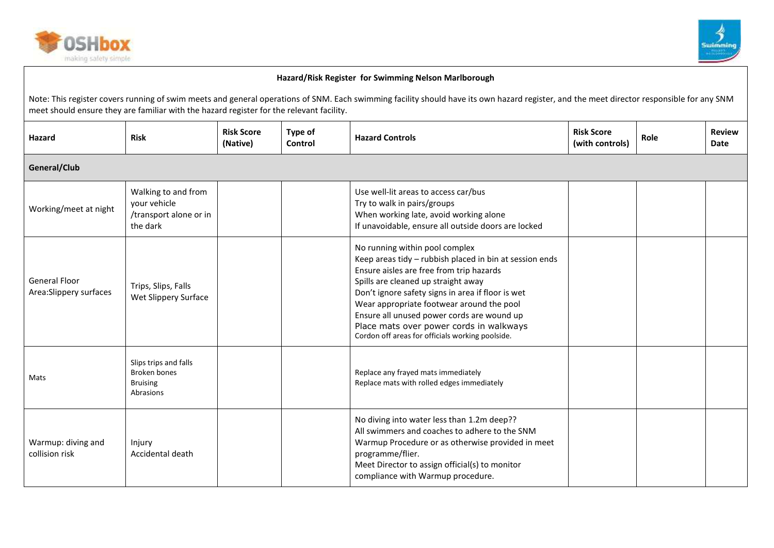



| <b>Hazard</b>                                   | <b>Risk</b>                                                                  | <b>Risk Score</b><br>(Native) | Type of<br>Control | <b>Hazard Controls</b>                                                                                                                                                                                                                                                                                                                                                                                                      | <b>Risk Score</b><br>(with controls) | Role | <b>Review</b><br>Date |  |
|-------------------------------------------------|------------------------------------------------------------------------------|-------------------------------|--------------------|-----------------------------------------------------------------------------------------------------------------------------------------------------------------------------------------------------------------------------------------------------------------------------------------------------------------------------------------------------------------------------------------------------------------------------|--------------------------------------|------|-----------------------|--|
| General/Club                                    |                                                                              |                               |                    |                                                                                                                                                                                                                                                                                                                                                                                                                             |                                      |      |                       |  |
| Working/meet at night                           | Walking to and from<br>your vehicle<br>/transport alone or in<br>the dark    |                               |                    | Use well-lit areas to access car/bus<br>Try to walk in pairs/groups<br>When working late, avoid working alone<br>If unavoidable, ensure all outside doors are locked                                                                                                                                                                                                                                                        |                                      |      |                       |  |
| <b>General Floor</b><br>Area: Slippery surfaces | Trips, Slips, Falls<br>Wet Slippery Surface                                  |                               |                    | No running within pool complex<br>Keep areas tidy - rubbish placed in bin at session ends<br>Ensure aisles are free from trip hazards<br>Spills are cleaned up straight away<br>Don't ignore safety signs in area if floor is wet<br>Wear appropriate footwear around the pool<br>Ensure all unused power cords are wound up<br>Place mats over power cords in walkways<br>Cordon off areas for officials working poolside. |                                      |      |                       |  |
| Mats                                            | Slips trips and falls<br><b>Broken bones</b><br><b>Bruising</b><br>Abrasions |                               |                    | Replace any frayed mats immediately<br>Replace mats with rolled edges immediately                                                                                                                                                                                                                                                                                                                                           |                                      |      |                       |  |
| Warmup: diving and<br>collision risk            | Injury<br>Accidental death                                                   |                               |                    | No diving into water less than 1.2m deep??<br>All swimmers and coaches to adhere to the SNM<br>Warmup Procedure or as otherwise provided in meet<br>programme/flier.<br>Meet Director to assign official(s) to monitor<br>compliance with Warmup procedure.                                                                                                                                                                 |                                      |      |                       |  |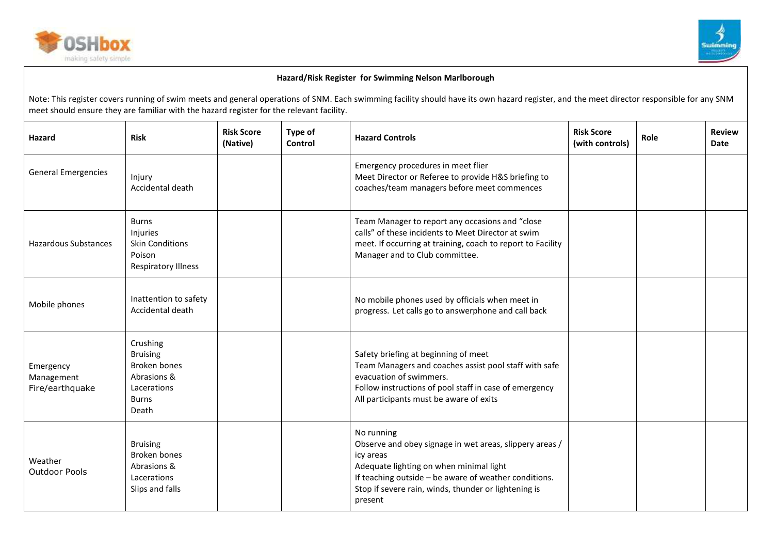



| Hazard                                     | <b>Risk</b>                                                                                        | <b>Risk Score</b><br>(Native) | Type of<br>Control | <b>Hazard Controls</b>                                                                                                                                                                                                                                    | <b>Risk Score</b><br>(with controls) | Role | <b>Review</b><br><b>Date</b> |
|--------------------------------------------|----------------------------------------------------------------------------------------------------|-------------------------------|--------------------|-----------------------------------------------------------------------------------------------------------------------------------------------------------------------------------------------------------------------------------------------------------|--------------------------------------|------|------------------------------|
| <b>General Emergencies</b>                 | Injury<br>Accidental death                                                                         |                               |                    | Emergency procedures in meet flier<br>Meet Director or Referee to provide H&S briefing to<br>coaches/team managers before meet commences                                                                                                                  |                                      |      |                              |
| <b>Hazardous Substances</b>                | <b>Burns</b><br>Injuries<br><b>Skin Conditions</b><br>Poison<br><b>Respiratory Illness</b>         |                               |                    | Team Manager to report any occasions and "close<br>calls" of these incidents to Meet Director at swim<br>meet. If occurring at training, coach to report to Facility<br>Manager and to Club committee.                                                    |                                      |      |                              |
| Mobile phones                              | Inattention to safety<br>Accidental death                                                          |                               |                    | No mobile phones used by officials when meet in<br>progress. Let calls go to answerphone and call back                                                                                                                                                    |                                      |      |                              |
| Emergency<br>Management<br>Fire/earthquake | Crushing<br><b>Bruising</b><br>Broken bones<br>Abrasions &<br>Lacerations<br><b>Burns</b><br>Death |                               |                    | Safety briefing at beginning of meet<br>Team Managers and coaches assist pool staff with safe<br>evacuation of swimmers.<br>Follow instructions of pool staff in case of emergency<br>All participants must be aware of exits                             |                                      |      |                              |
| Weather<br>Outdoor Pools                   | <b>Bruising</b><br><b>Broken bones</b><br>Abrasions &<br>Lacerations<br>Slips and falls            |                               |                    | No running<br>Observe and obey signage in wet areas, slippery areas /<br>icy areas<br>Adequate lighting on when minimal light<br>If teaching outside - be aware of weather conditions.<br>Stop if severe rain, winds, thunder or lightening is<br>present |                                      |      |                              |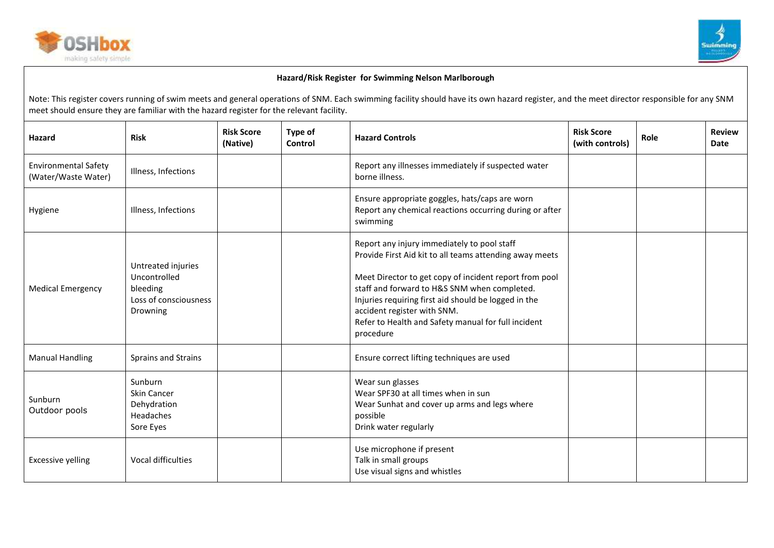



| Hazard                                             | <b>Risk</b>                                                                         | <b>Risk Score</b><br>(Native) | Type of<br>Control | <b>Hazard Controls</b>                                                                                                                                                                                                                                                                                                                                                      | <b>Risk Score</b><br>(with controls) | Role | <b>Review</b><br>Date |
|----------------------------------------------------|-------------------------------------------------------------------------------------|-------------------------------|--------------------|-----------------------------------------------------------------------------------------------------------------------------------------------------------------------------------------------------------------------------------------------------------------------------------------------------------------------------------------------------------------------------|--------------------------------------|------|-----------------------|
| <b>Environmental Safety</b><br>(Water/Waste Water) | Illness, Infections                                                                 |                               |                    | Report any illnesses immediately if suspected water<br>borne illness.                                                                                                                                                                                                                                                                                                       |                                      |      |                       |
| Hygiene                                            | Illness, Infections                                                                 |                               |                    | Ensure appropriate goggles, hats/caps are worn<br>Report any chemical reactions occurring during or after<br>swimming                                                                                                                                                                                                                                                       |                                      |      |                       |
| <b>Medical Emergency</b>                           | Untreated injuries<br>Uncontrolled<br>bleeding<br>Loss of consciousness<br>Drowning |                               |                    | Report any injury immediately to pool staff<br>Provide First Aid kit to all teams attending away meets<br>Meet Director to get copy of incident report from pool<br>staff and forward to H&S SNM when completed.<br>Injuries requiring first aid should be logged in the<br>accident register with SNM.<br>Refer to Health and Safety manual for full incident<br>procedure |                                      |      |                       |
| <b>Manual Handling</b>                             | Sprains and Strains                                                                 |                               |                    | Ensure correct lifting techniques are used                                                                                                                                                                                                                                                                                                                                  |                                      |      |                       |
| Sunburn<br>Outdoor pools                           | Sunburn<br><b>Skin Cancer</b><br>Dehydration<br><b>Headaches</b><br>Sore Eyes       |                               |                    | Wear sun glasses<br>Wear SPF30 at all times when in sun<br>Wear Sunhat and cover up arms and legs where<br>possible<br>Drink water regularly                                                                                                                                                                                                                                |                                      |      |                       |
| <b>Excessive yelling</b>                           | Vocal difficulties                                                                  |                               |                    | Use microphone if present<br>Talk in small groups<br>Use visual signs and whistles                                                                                                                                                                                                                                                                                          |                                      |      |                       |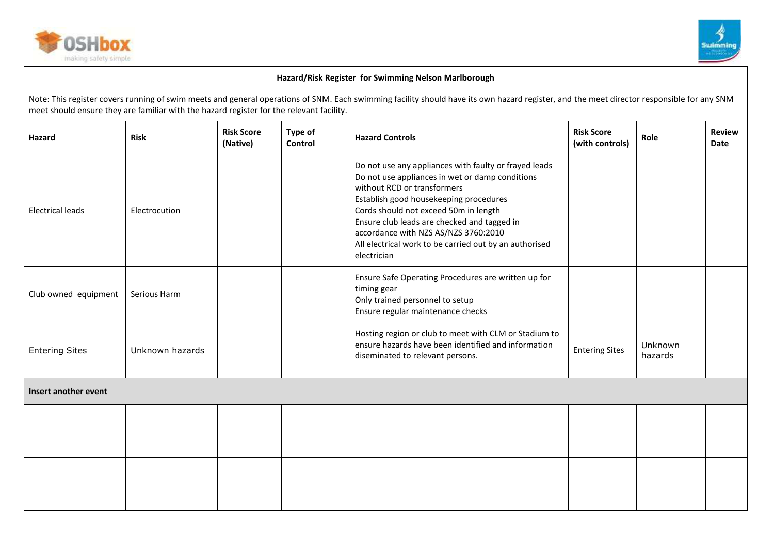



| <b>Hazard</b>           | <b>Risk</b>     | <b>Risk Score</b><br>(Native) | Type of<br>Control | <b>Hazard Controls</b>                                                                                                                                                                                                                                                                                                                                                                     | <b>Risk Score</b><br>(with controls) | Role               | <b>Review</b><br><b>Date</b> |
|-------------------------|-----------------|-------------------------------|--------------------|--------------------------------------------------------------------------------------------------------------------------------------------------------------------------------------------------------------------------------------------------------------------------------------------------------------------------------------------------------------------------------------------|--------------------------------------|--------------------|------------------------------|
| <b>Electrical leads</b> | Electrocution   |                               |                    | Do not use any appliances with faulty or frayed leads<br>Do not use appliances in wet or damp conditions<br>without RCD or transformers<br>Establish good housekeeping procedures<br>Cords should not exceed 50m in length<br>Ensure club leads are checked and tagged in<br>accordance with NZS AS/NZS 3760:2010<br>All electrical work to be carried out by an authorised<br>electrician |                                      |                    |                              |
| Club owned equipment    | Serious Harm    |                               |                    | Ensure Safe Operating Procedures are written up for<br>timing gear<br>Only trained personnel to setup<br>Ensure regular maintenance checks                                                                                                                                                                                                                                                 |                                      |                    |                              |
| <b>Entering Sites</b>   | Unknown hazards |                               |                    | Hosting region or club to meet with CLM or Stadium to<br>ensure hazards have been identified and information<br>diseminated to relevant persons.                                                                                                                                                                                                                                           | <b>Entering Sites</b>                | Unknown<br>hazards |                              |
| Insert another event    |                 |                               |                    |                                                                                                                                                                                                                                                                                                                                                                                            |                                      |                    |                              |
|                         |                 |                               |                    |                                                                                                                                                                                                                                                                                                                                                                                            |                                      |                    |                              |
|                         |                 |                               |                    |                                                                                                                                                                                                                                                                                                                                                                                            |                                      |                    |                              |
|                         |                 |                               |                    |                                                                                                                                                                                                                                                                                                                                                                                            |                                      |                    |                              |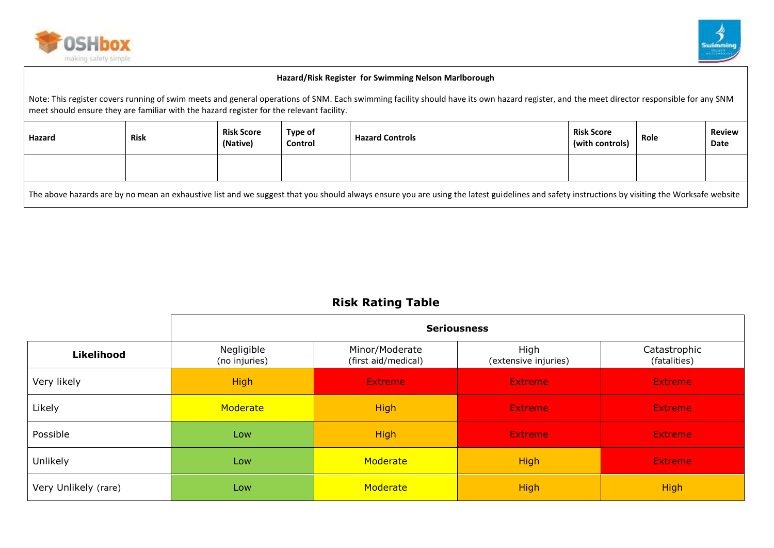



Note: This register covers running of swim meets and general operations of SNM. Each swimming facility should have its own hazard register, and the meet director responsible for any SNM meet should ensure they are familiar with the hazard register for the relevant facility.

| Hazard                                                                                                                                                                                        | <b>Risk</b> | <b>Risk Score</b><br>(Native) | <b>Type of</b><br>Control | <b>Hazard Controls</b> | <b>Risk Score</b><br>(with controls) | Role | <b>Review</b><br>Date |
|-----------------------------------------------------------------------------------------------------------------------------------------------------------------------------------------------|-------------|-------------------------------|---------------------------|------------------------|--------------------------------------|------|-----------------------|
|                                                                                                                                                                                               |             |                               |                           |                        |                                      |      |                       |
| The above hazards are by no mean an exhaustive list and we suggest that you should always ensure you are using the latest guidelines and safety instructions by visiting the Worksafe website |             |                               |                           |                        |                                      |      |                       |

# **Risk Rating Table**

|                      | <b>Seriousness</b>          |                                       |                              |                              |  |  |  |  |  |  |
|----------------------|-----------------------------|---------------------------------------|------------------------------|------------------------------|--|--|--|--|--|--|
| <b>Likelihood</b>    | Negligible<br>(no injuries) | Minor/Moderate<br>(first aid/medical) | High<br>(extensive injuries) | Catastrophic<br>(fatalities) |  |  |  |  |  |  |
| Very likely          | <b>High</b>                 | <b>Extreme</b>                        | Extreme                      | Extreme                      |  |  |  |  |  |  |
| Likely               | Moderate                    | <b>High</b>                           | <b>Extreme</b>               | <b>Extreme</b>               |  |  |  |  |  |  |
| Possible             | Low                         | <b>High</b>                           | Extreme                      | Extreme                      |  |  |  |  |  |  |
| Unlikely             | Low                         | Moderate                              | <b>High</b>                  | Extreme                      |  |  |  |  |  |  |
| Very Unlikely (rare) | Low                         | Moderate                              | <b>High</b>                  | <b>High</b>                  |  |  |  |  |  |  |